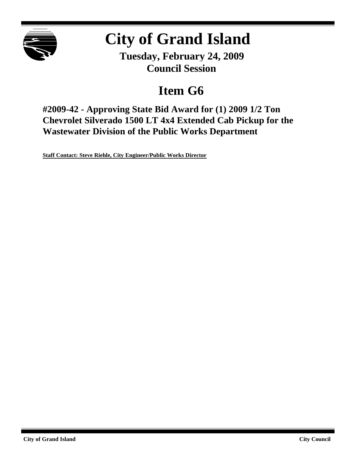

# **City of Grand Island**

**Tuesday, February 24, 2009 Council Session**

## **Item G6**

**#2009-42 - Approving State Bid Award for (1) 2009 1/2 Ton Chevrolet Silverado 1500 LT 4x4 Extended Cab Pickup for the Wastewater Division of the Public Works Department**

**Staff Contact: Steve Riehle, City Engineer/Public Works Director**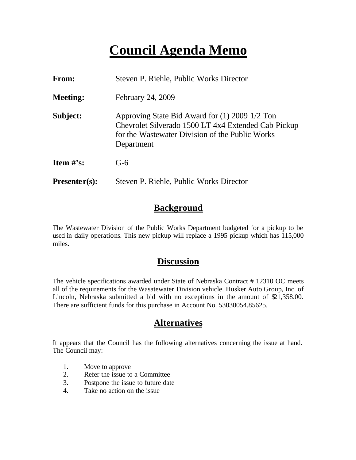## **Council Agenda Memo**

| <b>From:</b>    | Steven P. Riehle, Public Works Director                                                                                                                                |
|-----------------|------------------------------------------------------------------------------------------------------------------------------------------------------------------------|
| <b>Meeting:</b> | February 24, 2009                                                                                                                                                      |
| Subject:        | Approving State Bid Award for (1) 2009 1/2 Ton<br>Chevrolet Silverado 1500 LT 4x4 Extended Cab Pickup<br>for the Wastewater Division of the Public Works<br>Department |
| Item $#$ 's:    | $G-6$                                                                                                                                                                  |
| $Presenter(s):$ | Steven P. Riehle, Public Works Director                                                                                                                                |

#### **Background**

The Wastewater Division of the Public Works Department budgeted for a pickup to be used in daily operations. This new pickup will replace a 1995 pickup which has 115,000 miles.

#### **Discussion**

The vehicle specifications awarded under State of Nebraska Contract # 12310 OC meets all of the requirements for the Wasatewater Division vehicle. Husker Auto Group, Inc. of Lincoln, Nebraska submitted a bid with no exceptions in the amount of  $\mathfrak{D}1,358.00$ . There are sufficient funds for this purchase in Account No. 53030054.85625.

### **Alternatives**

It appears that the Council has the following alternatives concerning the issue at hand. The Council may:

- 1. Move to approve
- 2. Refer the issue to a Committee
- 3. Postpone the issue to future date
- 4. Take no action on the issue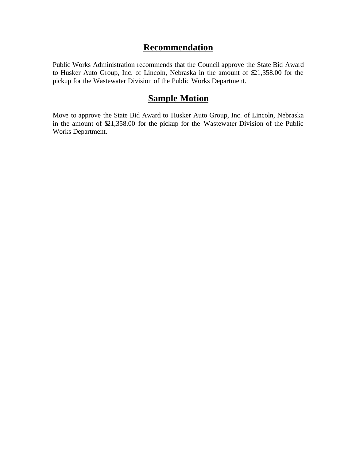#### **Recommendation**

Public Works Administration recommends that the Council approve the State Bid Award to Husker Auto Group, Inc. of Lincoln, Nebraska in the amount of \$21,358.00 for the pickup for the Wastewater Division of the Public Works Department.

#### **Sample Motion**

Move to approve the State Bid Award to Husker Auto Group, Inc. of Lincoln, Nebraska in the amount of \$21,358.00 for the pickup for the Wastewater Division of the Public Works Department.